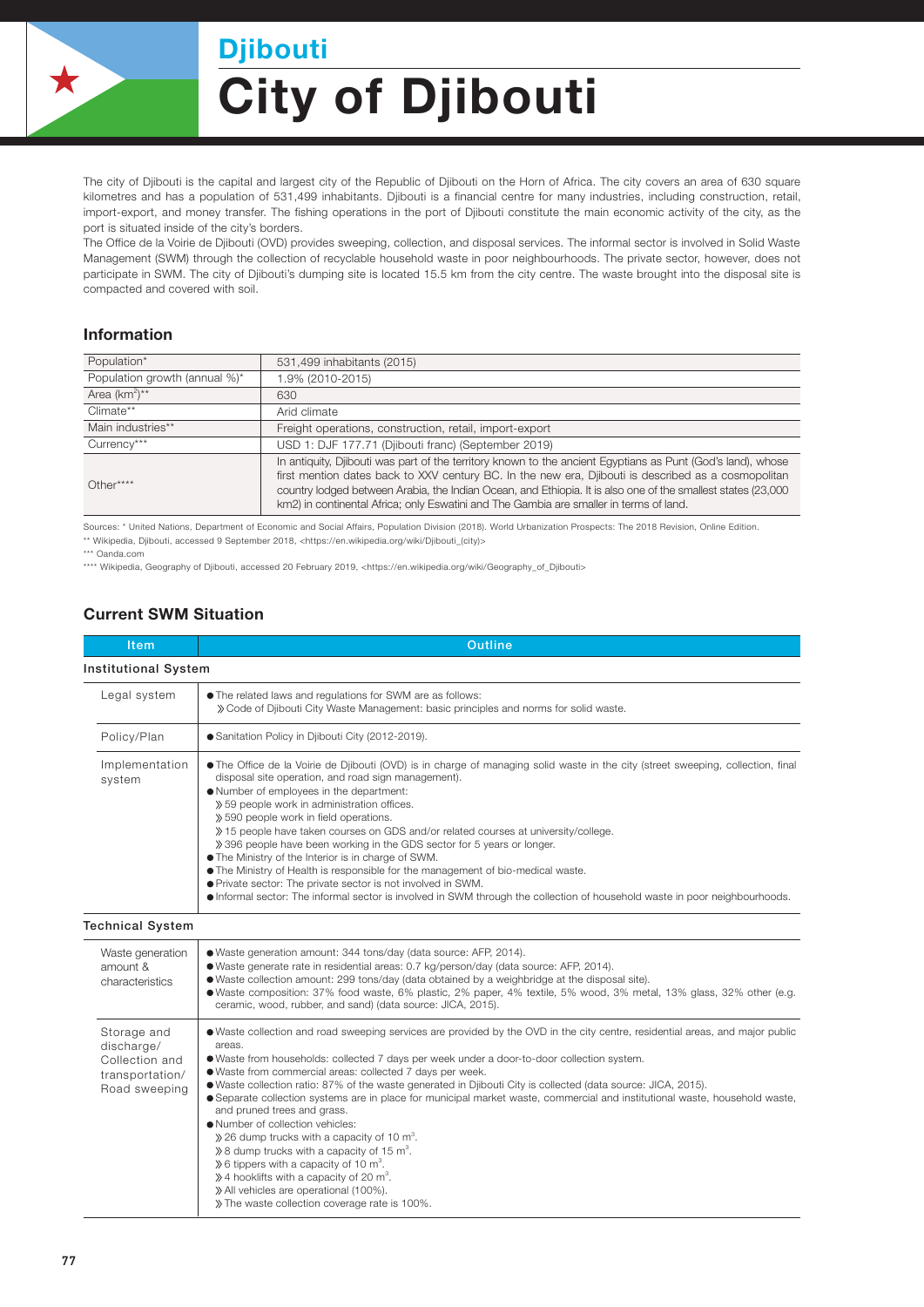

## City of Djibouti Djibouti

The city of Djibouti is the capital and largest city of the Republic of Djibouti on the Horn of Africa. The city covers an area of 630 square kilometres and has a population of 531,499 inhabitants. Djibouti is a financial centre for many industries, including construction, retail, import-export, and money transfer. The fishing operations in the port of Djibouti constitute the main economic activity of the city, as the port is situated inside of the city's borders.

The Office de la Voirie de Djibouti (OVD) provides sweeping, collection, and disposal services. The informal sector is involved in Solid Waste Management (SWM) through the collection of recyclable household waste in poor neighbourhoods. The private sector, however, does not participate in SWM. The city of Djibouti's dumping site is located 15.5 km from the city centre. The waste brought into the disposal site is compacted and covered with soil.

## Information

| Population*                   | 531,499 inhabitants (2015)                                                                                                                                                                                                                                                                                                                                                                                                   |  |  |
|-------------------------------|------------------------------------------------------------------------------------------------------------------------------------------------------------------------------------------------------------------------------------------------------------------------------------------------------------------------------------------------------------------------------------------------------------------------------|--|--|
| Population growth (annual %)* | 1.9% (2010-2015)                                                                                                                                                                                                                                                                                                                                                                                                             |  |  |
| Area $(km^2)^{**}$            | 630                                                                                                                                                                                                                                                                                                                                                                                                                          |  |  |
| Climate**                     | Arid climate                                                                                                                                                                                                                                                                                                                                                                                                                 |  |  |
| Main industries**             | Freight operations, construction, retail, import-export                                                                                                                                                                                                                                                                                                                                                                      |  |  |
| Currency***                   | USD 1: DJF 177.71 (Djibouti franc) (September 2019)                                                                                                                                                                                                                                                                                                                                                                          |  |  |
| $Other***$                    | In antiquity, Djibouti was part of the territory known to the ancient Eqyptians as Punt (God's land), whose<br>first mention dates back to XXV century BC. In the new era, Djibouti is described as a cosmopolitan<br>country lodged between Arabia, the Indian Ocean, and Ethiopia. It is also one of the smallest states (23,000<br>km2) in continental Africa; only Eswatini and The Gambia are smaller in terms of land. |  |  |

Sources: \* United Nations, Department of Economic and Social Affairs, Population Division (2018). World Urbanization Prospects: The 2018 Revision, Online Edition. \*\* Wikipedia, Djibouti, accessed 9 September 2018, <https://en.wikipedia.org/wiki/Djibouti\_(city)>

\*\*\* Oanda.com

\*\*\*\* Wikipedia, Geography of Djibouti, accessed 20 February 2019, <https://en.wikipedia.org/wiki/Geography\_of\_Djibouti>

## Current SWM Situation

| <b>Item</b>                                                                     | <b>Outline</b>                                                                                                                                                                                                                                                                                                                                                                                                                                                                                                                                                                                                                                                                                                                                                                                                                                                                                                                                                      |  |  |
|---------------------------------------------------------------------------------|---------------------------------------------------------------------------------------------------------------------------------------------------------------------------------------------------------------------------------------------------------------------------------------------------------------------------------------------------------------------------------------------------------------------------------------------------------------------------------------------------------------------------------------------------------------------------------------------------------------------------------------------------------------------------------------------------------------------------------------------------------------------------------------------------------------------------------------------------------------------------------------------------------------------------------------------------------------------|--|--|
| <b>Institutional System</b>                                                     |                                                                                                                                                                                                                                                                                                                                                                                                                                                                                                                                                                                                                                                                                                                                                                                                                                                                                                                                                                     |  |  |
| Legal system                                                                    | • The related laws and regulations for SWM are as follows:<br>» Code of Djibouti City Waste Management: basic principles and norms for solid waste.                                                                                                                                                                                                                                                                                                                                                                                                                                                                                                                                                                                                                                                                                                                                                                                                                 |  |  |
| Policy/Plan                                                                     | ● Sanitation Policy in Djibouti City (2012-2019).                                                                                                                                                                                                                                                                                                                                                                                                                                                                                                                                                                                                                                                                                                                                                                                                                                                                                                                   |  |  |
| Implementation<br>system                                                        | • The Office de la Voirie de Djibouti (OVD) is in charge of managing solid waste in the city (street sweeping, collection, final<br>disposal site operation, and road sign management).<br>. Number of employees in the department:<br>» 59 people work in administration offices.<br>» 590 people work in field operations.<br>» 15 people have taken courses on GDS and/or related courses at university/college.<br>» 396 people have been working in the GDS sector for 5 years or longer.<br>• The Ministry of the Interior is in charge of SWM.<br>• The Ministry of Health is responsible for the management of bio-medical waste.<br>● Private sector: The private sector is not involved in SWM.<br>• Informal sector: The informal sector is involved in SWM through the collection of household waste in poor neighbourhoods.                                                                                                                            |  |  |
| <b>Technical System</b>                                                         |                                                                                                                                                                                                                                                                                                                                                                                                                                                                                                                                                                                                                                                                                                                                                                                                                                                                                                                                                                     |  |  |
| Waste generation<br>amount &<br>characteristics                                 | · Waste generation amount: 344 tons/day (data source: AFP, 2014).<br>· Waste generate rate in residential areas: 0.7 kg/person/day (data source: AFP, 2014).<br>• Waste collection amount: 299 tons/day (data obtained by a weighbridge at the disposal site).<br>• Waste composition: 37% food waste, 6% plastic, 2% paper, 4% textile, 5% wood, 3% metal, 13% glass, 32% other (e.g.<br>ceramic, wood, rubber, and sand) (data source: JICA, 2015).                                                                                                                                                                                                                                                                                                                                                                                                                                                                                                               |  |  |
| Storage and<br>discharge/<br>Collection and<br>transportation/<br>Road sweeping | • Waste collection and road sweeping services are provided by the OVD in the city centre, residential areas, and major public<br>areas.<br>· Waste from households: collected 7 days per week under a door-to-door collection system.<br>· Waste from commercial areas: collected 7 days per week.<br>• Waste collection ratio: 87% of the waste generated in Djibouti City is collected (data source: JICA, 2015).<br>• Separate collection systems are in place for municipal market waste, commercial and institutional waste, household waste,<br>and pruned trees and grass.<br>• Number of collection vehicles:<br>$\gg$ 26 dump trucks with a capacity of 10 m <sup>3</sup> .<br>$\gg$ 8 dump trucks with a capacity of 15 m <sup>3</sup> .<br>$\gg$ 6 tippers with a capacity of 10 m <sup>3</sup> .<br>$\gg$ 4 hooklifts with a capacity of 20 m <sup>3</sup> .<br>» All vehicles are operational (100%).<br>» The waste collection coverage rate is 100%. |  |  |